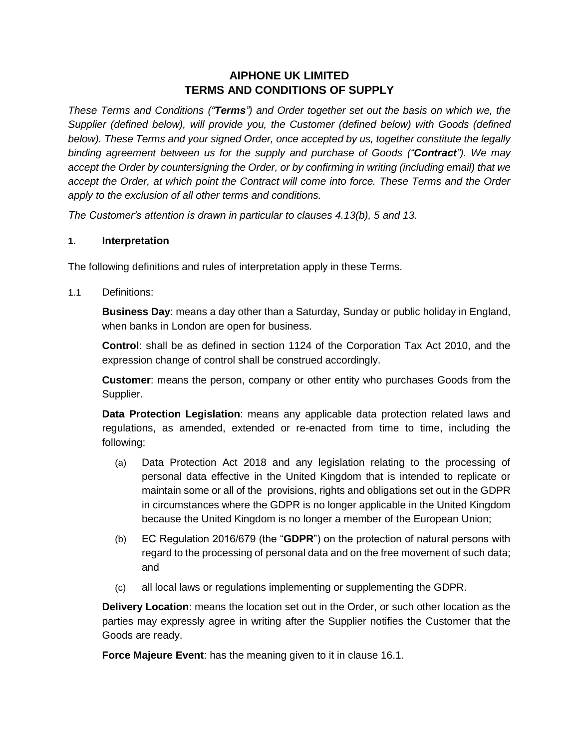# **AIPHONE UK LIMITED TERMS AND CONDITIONS OF SUPPLY**

*These Terms and Conditions ("Terms") and Order together set out the basis on which we, the Supplier (defined below), will provide you, the Customer (defined below) with Goods (defined below). These Terms and your signed Order, once accepted by us, together constitute the legally binding agreement between us for the supply and purchase of Goods ("Contract"). We may accept the Order by countersigning the Order, or by confirming in writing (including email) that we accept the Order, at which point the Contract will come into force. These Terms and the Order apply to the exclusion of all other terms and conditions.* 

*The Customer's attention is drawn in particular to clauses [4.13\(b\),](#page-5-0) [5](#page-5-1) and [13.](#page-13-0)* 

#### **1. Interpretation**

The following definitions and rules of interpretation apply in these Terms.

1.1 Definitions:

**Business Day**: means a day other than a Saturday, Sunday or public holiday in England, when banks in London are open for business.

**Control**: shall be as defined in section 1124 of the Corporation Tax Act 2010, and the expression change of control shall be construed accordingly.

**Customer**: means the person, company or other entity who purchases Goods from the Supplier.

**Data Protection Legislation**: means any applicable data protection related laws and regulations, as amended, extended or re-enacted from time to time, including the following:

- (a) Data Protection Act 2018 and any legislation relating to the processing of personal data effective in the United Kingdom that is intended to replicate or maintain some or all of the provisions, rights and obligations set out in the GDPR in circumstances where the GDPR is no longer applicable in the United Kingdom because the United Kingdom is no longer a member of the European Union;
- (b) EC Regulation 2016/679 (the "**GDPR**") on the protection of natural persons with regard to the processing of personal data and on the free movement of such data; and
- (c) all local laws or regulations implementing or supplementing the GDPR.

**Delivery Location**: means the location set out in the Order, or such other location as the parties may expressly agree in writing after the Supplier notifies the Customer that the Goods are ready.

**Force Majeure Event**: has the meaning given to it in clause [16.1.](#page-15-0)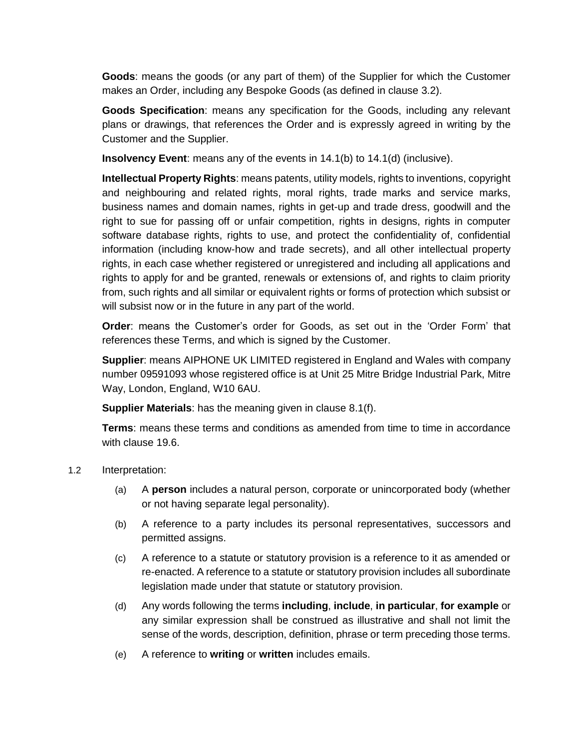**Goods**: means the goods (or any part of them) of the Supplier for which the Customer makes an Order, including any Bespoke Goods (as defined in clause [3.2\)](#page-2-0).

**Goods Specification**: means any specification for the Goods, including any relevant plans or drawings, that references the Order and is expressly agreed in writing by the Customer and the Supplier.

**Insolvency Event**: means any of the events in [14.1\(b\)](#page-14-0) to [14.1\(d\)](#page-14-1) (inclusive).

**Intellectual Property Rights**: means patents, utility models, rights to inventions, copyright and neighbouring and related rights, moral rights, trade marks and service marks, business names and domain names, rights in get-up and trade dress, goodwill and the right to sue for passing off or unfair competition, rights in designs, rights in computer software database rights, rights to use, and protect the confidentiality of, confidential information (including know-how and trade secrets), and all other intellectual property rights, in each case whether registered or unregistered and including all applications and rights to apply for and be granted, renewals or extensions of, and rights to claim priority from, such rights and all similar or equivalent rights or forms of protection which subsist or will subsist now or in the future in any part of the world.

**Order**: means the Customer's order for Goods, as set out in the 'Order Form' that references these Terms, and which is signed by the Customer.

**Supplier**: means AIPHONE UK LIMITED registered in England and Wales with company number 09591093 whose registered office is at Unit 25 Mitre Bridge Industrial Park, Mitre Way, London, England, W10 6AU.

**Supplier Materials**: has the meaning given in clause [8.1\(f\).](#page-9-0)

**Terms**: means these terms and conditions as amended from time to time in accordance with clause [19.6.](#page-17-0)

### 1.2 Interpretation:

- (a) A **person** includes a natural person, corporate or unincorporated body (whether or not having separate legal personality).
- (b) A reference to a party includes its personal representatives, successors and permitted assigns.
- (c) A reference to a statute or statutory provision is a reference to it as amended or re-enacted. A reference to a statute or statutory provision includes all subordinate legislation made under that statute or statutory provision.
- (d) Any words following the terms **including**, **include**, **in particular**, **for example** or any similar expression shall be construed as illustrative and shall not limit the sense of the words, description, definition, phrase or term preceding those terms.
- (e) A reference to **writing** or **written** includes emails.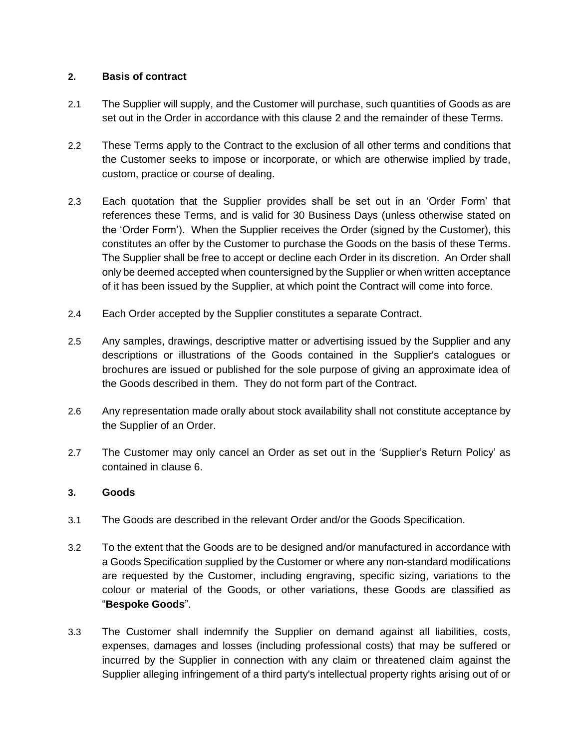### <span id="page-2-1"></span>**2. Basis of contract**

- 2.1 The Supplier will supply, and the Customer will purchase, such quantities of Goods as are set out in the Order in accordance with this clause [2](#page-2-1) and the remainder of these Terms.
- 2.2 These Terms apply to the Contract to the exclusion of all other terms and conditions that the Customer seeks to impose or incorporate, or which are otherwise implied by trade, custom, practice or course of dealing.
- 2.3 Each quotation that the Supplier provides shall be set out in an 'Order Form' that references these Terms, and is valid for 30 Business Days (unless otherwise stated on the 'Order Form'). When the Supplier receives the Order (signed by the Customer), this constitutes an offer by the Customer to purchase the Goods on the basis of these Terms. The Supplier shall be free to accept or decline each Order in its discretion. An Order shall only be deemed accepted when countersigned by the Supplier or when written acceptance of it has been issued by the Supplier, at which point the Contract will come into force.
- 2.4 Each Order accepted by the Supplier constitutes a separate Contract.
- 2.5 Any samples, drawings, descriptive matter or advertising issued by the Supplier and any descriptions or illustrations of the Goods contained in the Supplier's catalogues or brochures are issued or published for the sole purpose of giving an approximate idea of the Goods described in them. They do not form part of the Contract.
- 2.6 Any representation made orally about stock availability shall not constitute acceptance by the Supplier of an Order.
- 2.7 The Customer may only cancel an Order as set out in the 'Supplier's Return Policy' as contained in clause [6.](#page-6-0)

### **3. Goods**

- 3.1 The Goods are described in the relevant Order and/or the Goods Specification.
- <span id="page-2-0"></span>3.2 To the extent that the Goods are to be designed and/or manufactured in accordance with a Goods Specification supplied by the Customer or where any non-standard modifications are requested by the Customer, including engraving, specific sizing, variations to the colour or material of the Goods, or other variations, these Goods are classified as "**Bespoke Goods**".
- 3.3 The Customer shall indemnify the Supplier on demand against all liabilities, costs, expenses, damages and losses (including professional costs) that may be suffered or incurred by the Supplier in connection with any claim or threatened claim against the Supplier alleging infringement of a third party's intellectual property rights arising out of or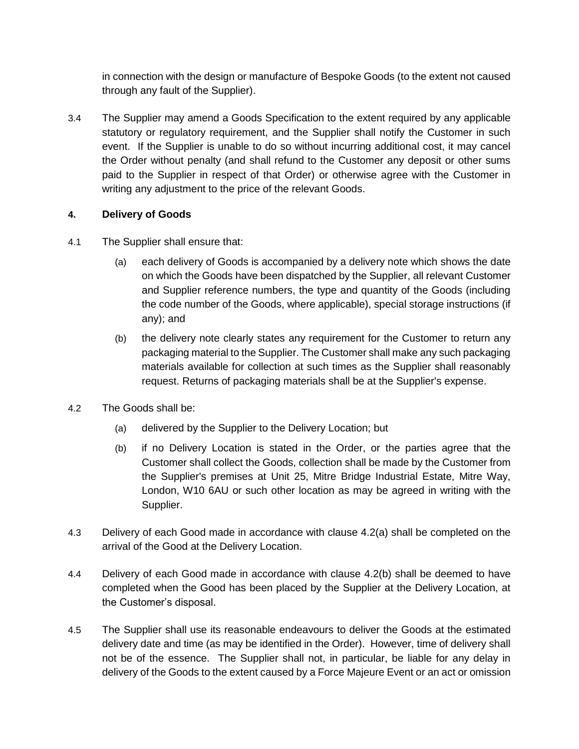in connection with the design or manufacture of Bespoke Goods (to the extent not caused through any fault of the Supplier).

3.4 The Supplier may amend a Goods Specification to the extent required by any applicable statutory or regulatory requirement, and the Supplier shall notify the Customer in such event. If the Supplier is unable to do so without incurring additional cost, it may cancel the Order without penalty (and shall refund to the Customer any deposit or other sums paid to the Supplier in respect of that Order) or otherwise agree with the Customer in writing any adjustment to the price of the relevant Goods.

# **4. Delivery of Goods**

- 4.1 The Supplier shall ensure that:
	- (a) each delivery of Goods is accompanied by a delivery note which shows the date on which the Goods have been dispatched by the Supplier, all relevant Customer and Supplier reference numbers, the type and quantity of the Goods (including the code number of the Goods, where applicable), special storage instructions (if any); and
	- (b) the delivery note clearly states any requirement for the Customer to return any packaging material to the Supplier. The Customer shall make any such packaging materials available for collection at such times as the Supplier shall reasonably request. Returns of packaging materials shall be at the Supplier's expense.
- <span id="page-3-1"></span><span id="page-3-0"></span>4.2 The Goods shall be:
	- (a) delivered by the Supplier to the Delivery Location; but
	- (b) if no Delivery Location is stated in the Order, or the parties agree that the Customer shall collect the Goods, collection shall be made by the Customer from the Supplier's premises at Unit 25, Mitre Bridge Industrial Estate, Mitre Way, London, W10 6AU or such other location as may be agreed in writing with the Supplier.
- 4.3 Delivery of each Good made in accordance with clause [4.2\(a\)](#page-3-0) shall be completed on the arrival of the Good at the Delivery Location.
- 4.4 Delivery of each Good made in accordance with clause [4.2\(b\)](#page-3-1) shall be deemed to have completed when the Good has been placed by the Supplier at the Delivery Location, at the Customer's disposal.
- 4.5 The Supplier shall use its reasonable endeavours to deliver the Goods at the estimated delivery date and time (as may be identified in the Order). However, time of delivery shall not be of the essence. The Supplier shall not, in particular, be liable for any delay in delivery of the Goods to the extent caused by a Force Majeure Event or an act or omission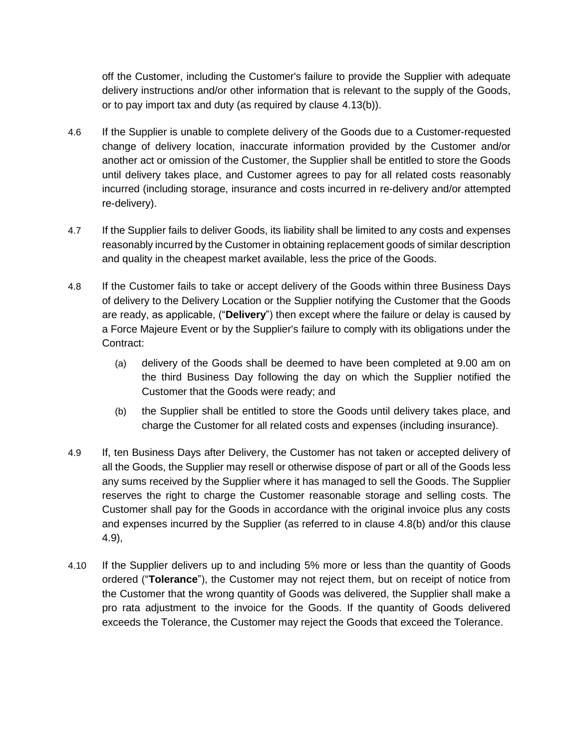off the Customer, including the Customer's failure to provide the Supplier with adequate delivery instructions and/or other information that is relevant to the supply of the Goods, or to pay import tax and duty (as required by clause [4.13\(b\)\)](#page-5-0).

- <span id="page-4-2"></span>4.6 If the Supplier is unable to complete delivery of the Goods due to a Customer-requested change of delivery location, inaccurate information provided by the Customer and/or another act or omission of the Customer, the Supplier shall be entitled to store the Goods until delivery takes place, and Customer agrees to pay for all related costs reasonably incurred (including storage, insurance and costs incurred in re-delivery and/or attempted re-delivery).
- 4.7 If the Supplier fails to deliver Goods, its liability shall be limited to any costs and expenses reasonably incurred by the Customer in obtaining replacement goods of similar description and quality in the cheapest market available, less the price of the Goods.
- 4.8 If the Customer fails to take or accept delivery of the Goods within three Business Days of delivery to the Delivery Location or the Supplier notifying the Customer that the Goods are ready, as applicable, ("**Delivery**") then except where the failure or delay is caused by a Force Majeure Event or by the Supplier's failure to comply with its obligations under the Contract:
	- (a) delivery of the Goods shall be deemed to have been completed at 9.00 am on the third Business Day following the day on which the Supplier notified the Customer that the Goods were ready; and
	- (b) the Supplier shall be entitled to store the Goods until delivery takes place, and charge the Customer for all related costs and expenses (including insurance).
- <span id="page-4-1"></span><span id="page-4-0"></span>4.9 If, ten Business Days after Delivery, the Customer has not taken or accepted delivery of all the Goods, the Supplier may resell or otherwise dispose of part or all of the Goods less any sums received by the Supplier where it has managed to sell the Goods. The Supplier reserves the right to charge the Customer reasonable storage and selling costs. The Customer shall pay for the Goods in accordance with the original invoice plus any costs and expenses incurred by the Supplier (as referred to in clause [4.8\(b\)](#page-4-0) and/or this clause [4.9\)](#page-4-1),
- 4.10 If the Supplier delivers up to and including 5% more or less than the quantity of Goods ordered ("**Tolerance**"), the Customer may not reject them, but on receipt of notice from the Customer that the wrong quantity of Goods was delivered, the Supplier shall make a pro rata adjustment to the invoice for the Goods. If the quantity of Goods delivered exceeds the Tolerance, the Customer may reject the Goods that exceed the Tolerance.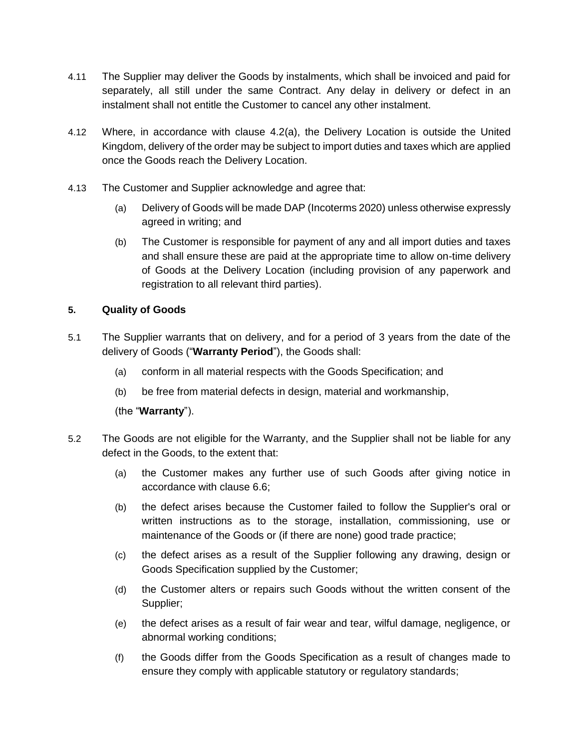- 4.11 The Supplier may deliver the Goods by instalments, which shall be invoiced and paid for separately, all still under the same Contract. Any delay in delivery or defect in an instalment shall not entitle the Customer to cancel any other instalment.
- 4.12 Where, in accordance with clause [4.2\(a\),](#page-3-0) the Delivery Location is outside the United Kingdom, delivery of the order may be subject to import duties and taxes which are applied once the Goods reach the Delivery Location.
- <span id="page-5-0"></span>4.13 The Customer and Supplier acknowledge and agree that:
	- (a) Delivery of Goods will be made DAP (Incoterms 2020) unless otherwise expressly agreed in writing; and
	- (b) The Customer is responsible for payment of any and all import duties and taxes and shall ensure these are paid at the appropriate time to allow on-time delivery of Goods at the Delivery Location (including provision of any paperwork and registration to all relevant third parties).

# <span id="page-5-1"></span>**5. Quality of Goods**

- 5.1 The Supplier warrants that on delivery, and for a period of 3 years from the date of the delivery of Goods ("**Warranty Period**"), the Goods shall:
	- (a) conform in all material respects with the Goods Specification; and
	- (b) be free from material defects in design, material and workmanship,

(the "**Warranty**").

- <span id="page-5-2"></span>5.2 The Goods are not eligible for the Warranty, and the Supplier shall not be liable for any defect in the Goods, to the extent that:
	- (a) the Customer makes any further use of such Goods after giving notice in accordance with clause [6.6;](#page-7-0)
	- (b) the defect arises because the Customer failed to follow the Supplier's oral or written instructions as to the storage, installation, commissioning, use or maintenance of the Goods or (if there are none) good trade practice;
	- (c) the defect arises as a result of the Supplier following any drawing, design or Goods Specification supplied by the Customer;
	- (d) the Customer alters or repairs such Goods without the written consent of the Supplier;
	- (e) the defect arises as a result of fair wear and tear, wilful damage, negligence, or abnormal working conditions;
	- (f) the Goods differ from the Goods Specification as a result of changes made to ensure they comply with applicable statutory or regulatory standards;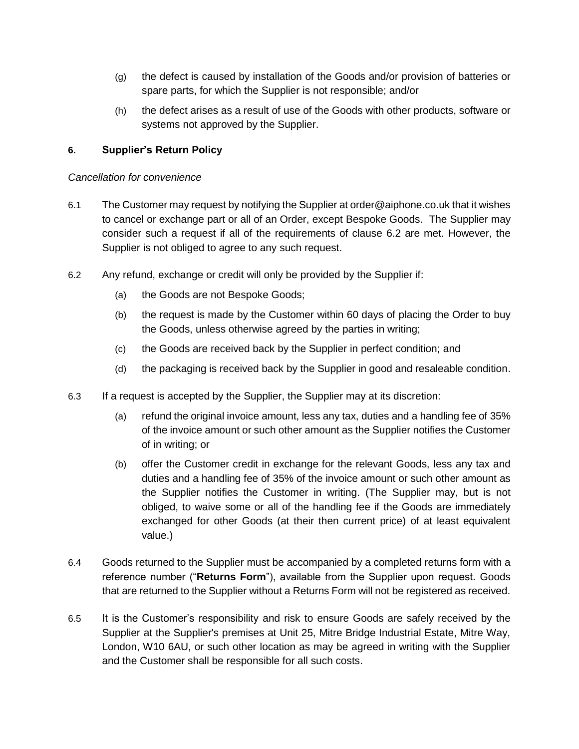- (g) the defect is caused by installation of the Goods and/or provision of batteries or spare parts, for which the Supplier is not responsible; and/or
- <span id="page-6-0"></span>(h) the defect arises as a result of use of the Goods with other products, software or systems not approved by the Supplier.

### **6. Supplier's Return Policy**

#### *Cancellation for convenience*

- 6.1 The Customer may request by notifying the Supplier at order@aiphone.co.uk that it wishes to cancel or exchange part or all of an Order, except Bespoke Goods. The Supplier may consider such a request if all of the requirements of clause [6.2](#page-6-1) are met. However, the Supplier is not obliged to agree to any such request.
- <span id="page-6-1"></span>6.2 Any refund, exchange or credit will only be provided by the Supplier if:
	- (a) the Goods are not Bespoke Goods;
	- (b) the request is made by the Customer within 60 days of placing the Order to buy the Goods, unless otherwise agreed by the parties in writing;
	- (c) the Goods are received back by the Supplier in perfect condition; and
	- (d) the packaging is received back by the Supplier in good and resaleable condition.
- 6.3 If a request is accepted by the Supplier, the Supplier may at its discretion:
	- (a) refund the original invoice amount, less any tax, duties and a handling fee of 35% of the invoice amount or such other amount as the Supplier notifies the Customer of in writing; or
	- (b) offer the Customer credit in exchange for the relevant Goods, less any tax and duties and a handling fee of 35% of the invoice amount or such other amount as the Supplier notifies the Customer in writing. (The Supplier may, but is not obliged, to waive some or all of the handling fee if the Goods are immediately exchanged for other Goods (at their then current price) of at least equivalent value.)
- 6.4 Goods returned to the Supplier must be accompanied by a completed returns form with a reference number ("**Returns Form**"), available from the Supplier upon request. Goods that are returned to the Supplier without a Returns Form will not be registered as received.
- 6.5 It is the Customer's responsibility and risk to ensure Goods are safely received by the Supplier at the Supplier's premises at Unit 25, Mitre Bridge Industrial Estate, Mitre Way, London, W10 6AU, or such other location as may be agreed in writing with the Supplier and the Customer shall be responsible for all such costs.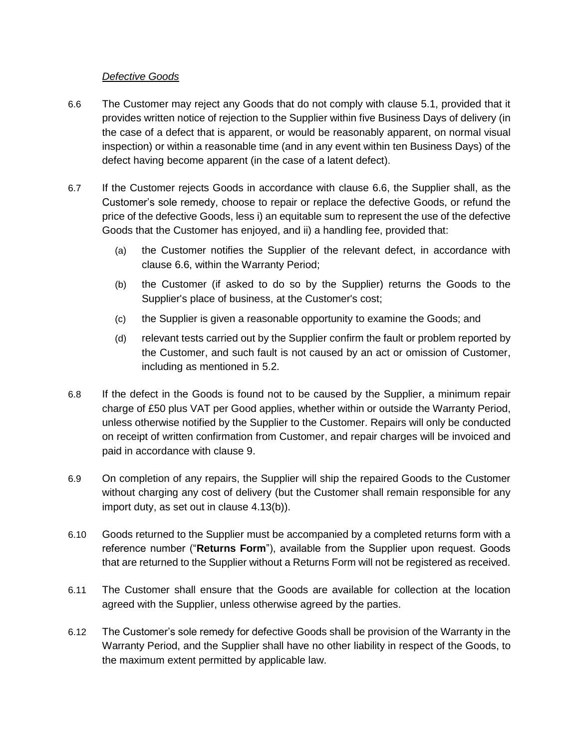### *Defective Goods*

- <span id="page-7-0"></span>6.6 The Customer may reject any Goods that do not comply with clause 5.1, provided that it provides written notice of rejection to the Supplier within five Business Days of delivery (in the case of a defect that is apparent, or would be reasonably apparent, on normal visual inspection) or within a reasonable time (and in any event within ten Business Days) of the defect having become apparent (in the case of a latent defect).
- <span id="page-7-3"></span>6.7 If the Customer rejects Goods in accordance with clause [6.6,](#page-7-0) the Supplier shall, as the Customer's sole remedy, choose to repair or replace the defective Goods, or refund the price of the defective Goods, less i) an equitable sum to represent the use of the defective Goods that the Customer has enjoyed, and ii) a handling fee, provided that:
	- (a) the Customer notifies the Supplier of the relevant defect, in accordance with clause [6.6,](#page-7-0) within the Warranty Period;
	- (b) the Customer (if asked to do so by the Supplier) returns the Goods to the Supplier's place of business, at the Customer's cost;
	- (c) the Supplier is given a reasonable opportunity to examine the Goods; and
	- (d) relevant tests carried out by the Supplier confirm the fault or problem reported by the Customer, and such fault is not caused by an act or omission of Customer, including as mentioned in [5.2.](#page-5-2)
- <span id="page-7-2"></span>6.8 If the defect in the Goods is found not to be caused by the Supplier, a minimum repair charge of £50 plus VAT per Good applies, whether within or outside the Warranty Period, unless otherwise notified by the Supplier to the Customer. Repairs will only be conducted on receipt of written confirmation from Customer, and repair charges will be invoiced and paid in accordance with clause [9.](#page-10-0)
- 6.9 On completion of any repairs, the Supplier will ship the repaired Goods to the Customer without charging any cost of delivery (but the Customer shall remain responsible for any import duty, as set out in clause [4.13\(b\)\)](#page-5-0).
- 6.10 Goods returned to the Supplier must be accompanied by a completed returns form with a reference number ("**Returns Form**"), available from the Supplier upon request. Goods that are returned to the Supplier without a Returns Form will not be registered as received.
- 6.11 The Customer shall ensure that the Goods are available for collection at the location agreed with the Supplier, unless otherwise agreed by the parties.
- <span id="page-7-1"></span>6.12 The Customer's sole remedy for defective Goods shall be provision of the Warranty in the Warranty Period, and the Supplier shall have no other liability in respect of the Goods, to the maximum extent permitted by applicable law.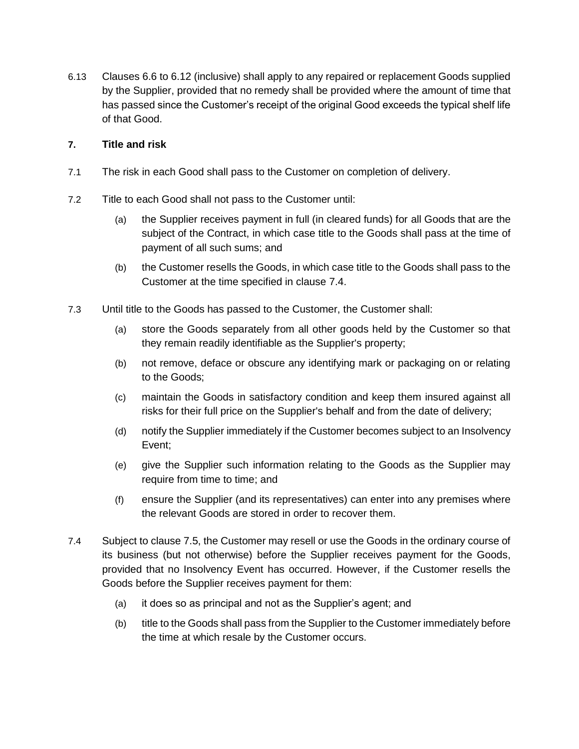6.13 Clauses [6.6](#page-7-0) t[o 6.12](#page-7-1) (inclusive) shall apply to any repaired or replacement Goods supplied by the Supplier, provided that no remedy shall be provided where the amount of time that has passed since the Customer's receipt of the original Good exceeds the typical shelf life of that Good.

### **7. Title and risk**

- 7.1 The risk in each Good shall pass to the Customer on completion of delivery.
- 7.2 Title to each Good shall not pass to the Customer until:
	- (a) the Supplier receives payment in full (in cleared funds) for all Goods that are the subject of the Contract, in which case title to the Goods shall pass at the time of payment of all such sums; and
	- (b) the Customer resells the Goods, in which case title to the Goods shall pass to the Customer at the time specified in clause [7.4.](#page-8-0)
- 7.3 Until title to the Goods has passed to the Customer, the Customer shall:
	- (a) store the Goods separately from all other goods held by the Customer so that they remain readily identifiable as the Supplier's property;
	- (b) not remove, deface or obscure any identifying mark or packaging on or relating to the Goods;
	- (c) maintain the Goods in satisfactory condition and keep them insured against all risks for their full price on the Supplier's behalf and from the date of delivery;
	- (d) notify the Supplier immediately if the Customer becomes subject to an Insolvency Event;
	- (e) give the Supplier such information relating to the Goods as the Supplier may require from time to time; and
	- (f) ensure the Supplier (and its representatives) can enter into any premises where the relevant Goods are stored in order to recover them.
- <span id="page-8-0"></span>7.4 Subject to clause [7.5,](#page-9-1) the Customer may resell or use the Goods in the ordinary course of its business (but not otherwise) before the Supplier receives payment for the Goods, provided that no Insolvency Event has occurred. However, if the Customer resells the Goods before the Supplier receives payment for them:
	- (a) it does so as principal and not as the Supplier's agent; and
	- (b) title to the Goods shall pass from the Supplier to the Customer immediately before the time at which resale by the Customer occurs.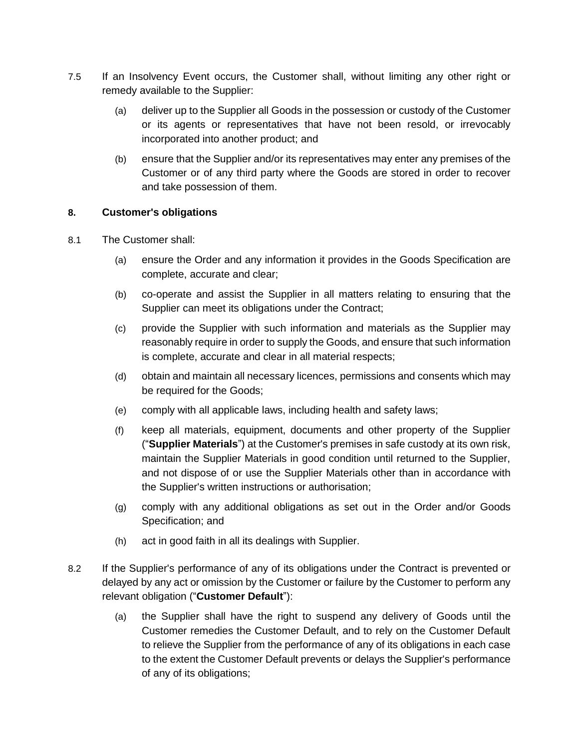- <span id="page-9-1"></span>7.5 If an Insolvency Event occurs, the Customer shall, without limiting any other right or remedy available to the Supplier:
	- (a) deliver up to the Supplier all Goods in the possession or custody of the Customer or its agents or representatives that have not been resold, or irrevocably incorporated into another product; and
	- (b) ensure that the Supplier and/or its representatives may enter any premises of the Customer or of any third party where the Goods are stored in order to recover and take possession of them.

### **8. Customer's obligations**

- 8.1 The Customer shall:
	- (a) ensure the Order and any information it provides in the Goods Specification are complete, accurate and clear;
	- (b) co-operate and assist the Supplier in all matters relating to ensuring that the Supplier can meet its obligations under the Contract;
	- (c) provide the Supplier with such information and materials as the Supplier may reasonably require in order to supply the Goods, and ensure that such information is complete, accurate and clear in all material respects;
	- (d) obtain and maintain all necessary licences, permissions and consents which may be required for the Goods;
	- (e) comply with all applicable laws, including health and safety laws;
	- (f) keep all materials, equipment, documents and other property of the Supplier ("**Supplier Materials**") at the Customer's premises in safe custody at its own risk, maintain the Supplier Materials in good condition until returned to the Supplier, and not dispose of or use the Supplier Materials other than in accordance with the Supplier's written instructions or authorisation;
	- (g) comply with any additional obligations as set out in the Order and/or Goods Specification; and
	- (h) act in good faith in all its dealings with Supplier.
- <span id="page-9-2"></span><span id="page-9-0"></span>8.2 If the Supplier's performance of any of its obligations under the Contract is prevented or delayed by any act or omission by the Customer or failure by the Customer to perform any relevant obligation ("**Customer Default**"):
	- (a) the Supplier shall have the right to suspend any delivery of Goods until the Customer remedies the Customer Default, and to rely on the Customer Default to relieve the Supplier from the performance of any of its obligations in each case to the extent the Customer Default prevents or delays the Supplier's performance of any of its obligations;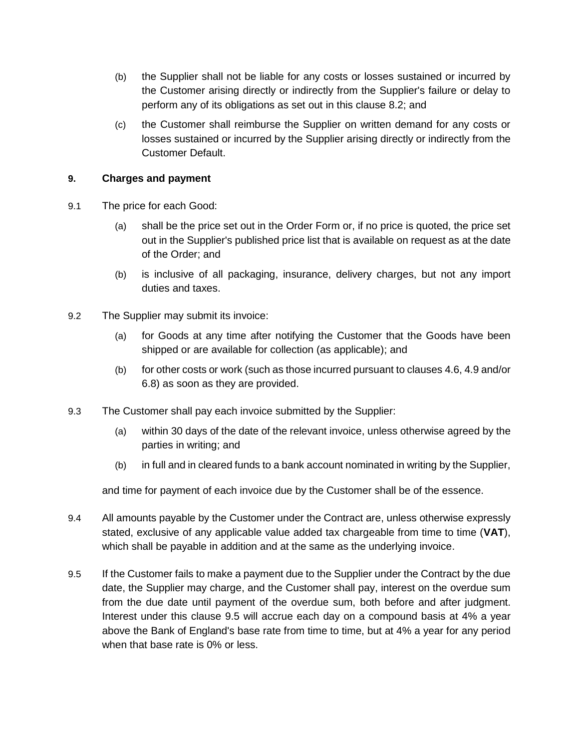- (b) the Supplier shall not be liable for any costs or losses sustained or incurred by the Customer arising directly or indirectly from the Supplier's failure or delay to perform any of its obligations as set out in this clause [8.2;](#page-9-2) and
- (c) the Customer shall reimburse the Supplier on written demand for any costs or losses sustained or incurred by the Supplier arising directly or indirectly from the Customer Default.

### <span id="page-10-0"></span>**9. Charges and payment**

- 9.1 The price for each Good:
	- (a) shall be the price set out in the Order Form or, if no price is quoted, the price set out in the Supplier's published price list that is available on request as at the date of the Order; and
	- (b) is inclusive of all packaging, insurance, delivery charges, but not any import duties and taxes.
- 9.2 The Supplier may submit its invoice:
	- (a) for Goods at any time after notifying the Customer that the Goods have been shipped or are available for collection (as applicable); and
	- (b) for other costs or work (such as those incurred pursuant to clauses [4.6,](#page-4-2) [4.9](#page-4-1) and/or [6.8\)](#page-7-2) as soon as they are provided.
- 9.3 The Customer shall pay each invoice submitted by the Supplier:
	- (a) within 30 days of the date of the relevant invoice, unless otherwise agreed by the parties in writing; and
	- (b) in full and in cleared funds to a bank account nominated in writing by the Supplier,

and time for payment of each invoice due by the Customer shall be of the essence.

- 9.4 All amounts payable by the Customer under the Contract are, unless otherwise expressly stated, exclusive of any applicable value added tax chargeable from time to time (**VAT**), which shall be payable in addition and at the same as the underlying invoice.
- <span id="page-10-1"></span>9.5 If the Customer fails to make a payment due to the Supplier under the Contract by the due date, the Supplier may charge, and the Customer shall pay, interest on the overdue sum from the due date until payment of the overdue sum, both before and after judgment. Interest under this clause [9.5](#page-10-1) will accrue each day on a compound basis at 4% a year above the Bank of England's base rate from time to time, but at 4% a year for any period when that base rate is 0% or less.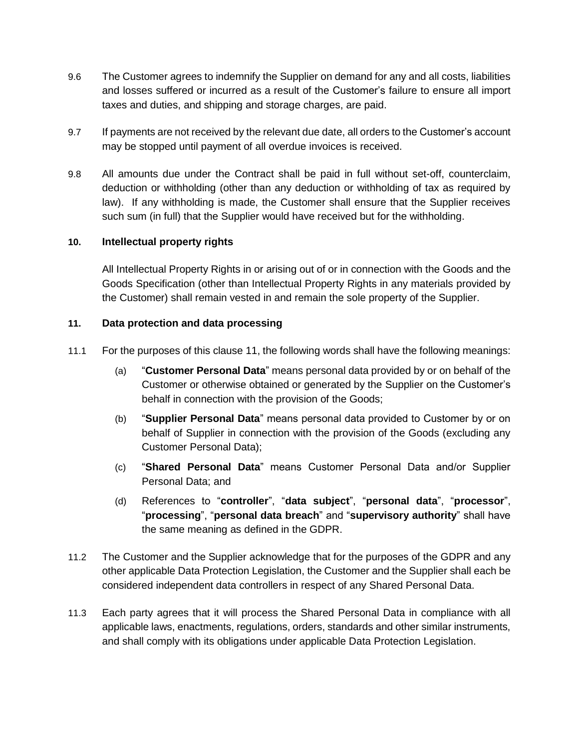- 9.6 The Customer agrees to indemnify the Supplier on demand for any and all costs, liabilities and losses suffered or incurred as a result of the Customer's failure to ensure all import taxes and duties, and shipping and storage charges, are paid.
- 9.7 If payments are not received by the relevant due date, all orders to the Customer's account may be stopped until payment of all overdue invoices is received.
- 9.8 All amounts due under the Contract shall be paid in full without set-off, counterclaim, deduction or withholding (other than any deduction or withholding of tax as required by law). If any withholding is made, the Customer shall ensure that the Supplier receives such sum (in full) that the Supplier would have received but for the withholding.

#### **10. Intellectual property rights**

All Intellectual Property Rights in or arising out of or in connection with the Goods and the Goods Specification (other than Intellectual Property Rights in any materials provided by the Customer) shall remain vested in and remain the sole property of the Supplier.

#### <span id="page-11-0"></span>**11. Data protection and data processing**

- 11.1 For the purposes of this clause [11,](#page-11-0) the following words shall have the following meanings:
	- (a) "**Customer Personal Data**" means personal data provided by or on behalf of the Customer or otherwise obtained or generated by the Supplier on the Customer's behalf in connection with the provision of the Goods;
	- (b) "**Supplier Personal Data**" means personal data provided to Customer by or on behalf of Supplier in connection with the provision of the Goods (excluding any Customer Personal Data);
	- (c) "**Shared Personal Data**" means Customer Personal Data and/or Supplier Personal Data; and
	- (d) References to "**controller**", "**data subject**", "**personal data**", "**processor**", "**processing**", "**personal data breach**" and "**supervisory authority**" shall have the same meaning as defined in the GDPR.
- 11.2 The Customer and the Supplier acknowledge that for the purposes of the GDPR and any other applicable Data Protection Legislation, the Customer and the Supplier shall each be considered independent data controllers in respect of any Shared Personal Data.
- <span id="page-11-1"></span>11.3 Each party agrees that it will process the Shared Personal Data in compliance with all applicable laws, enactments, regulations, orders, standards and other similar instruments, and shall comply with its obligations under applicable Data Protection Legislation.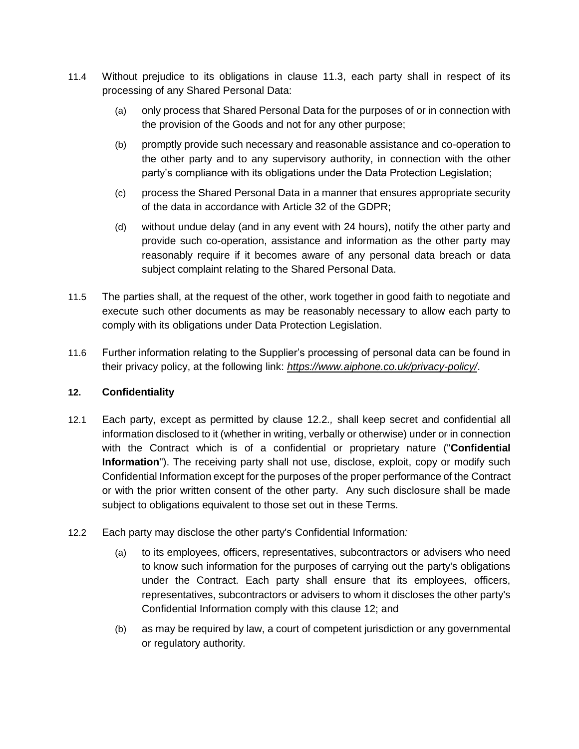- 11.4 Without prejudice to its obligations in clause [11.3,](#page-11-1) each party shall in respect of its processing of any Shared Personal Data:
	- (a) only process that Shared Personal Data for the purposes of or in connection with the provision of the Goods and not for any other purpose;
	- (b) promptly provide such necessary and reasonable assistance and co-operation to the other party and to any supervisory authority, in connection with the other party's compliance with its obligations under the Data Protection Legislation;
	- (c) process the Shared Personal Data in a manner that ensures appropriate security of the data in accordance with Article 32 of the GDPR;
	- (d) without undue delay (and in any event with 24 hours), notify the other party and provide such co-operation, assistance and information as the other party may reasonably require if it becomes aware of any personal data breach or data subject complaint relating to the Shared Personal Data.
- 11.5 The parties shall, at the request of the other, work together in good faith to negotiate and execute such other documents as may be reasonably necessary to allow each party to comply with its obligations under Data Protection Legislation.
- 11.6 Further information relating to the Supplier's processing of personal data can be found in their privacy policy, at the following link: *<https://www.aiphone.co.uk/privacy-policy/>*.

### <span id="page-12-1"></span>**12. Confidentiality**

- <span id="page-12-2"></span>12.1 Each party, except as permitted by clause [12.2](#page-12-0)*.,* shall keep secret and confidential all information disclosed to it (whether in writing, verbally or otherwise) under or in connection with the Contract which is of a confidential or proprietary nature ("**Confidential Information**"). The receiving party shall not use, disclose, exploit, copy or modify such Confidential Information except for the purposes of the proper performance of the Contract or with the prior written consent of the other party. Any such disclosure shall be made subject to obligations equivalent to those set out in these Terms.
- <span id="page-12-0"></span>12.2 Each party may disclose the other party's Confidential Information*:*
	- (a) to its employees, officers, representatives, subcontractors or advisers who need to know such information for the purposes of carrying out the party's obligations under the Contract. Each party shall ensure that its employees, officers, representatives, subcontractors or advisers to whom it discloses the other party's Confidential Information comply with this clause [12;](#page-12-1) and
	- (b) as may be required by law, a court of competent jurisdiction or any governmental or regulatory authority*.*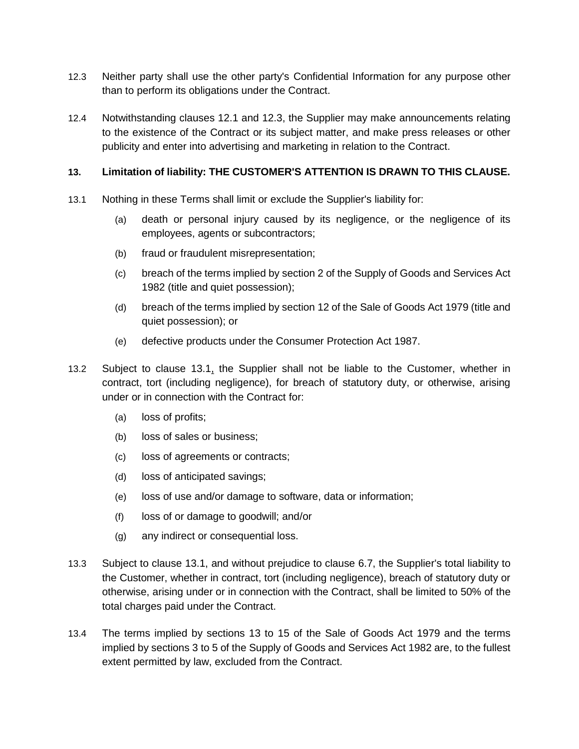- <span id="page-13-1"></span>12.3 Neither party shall use the other party's Confidential Information for any purpose other than to perform its obligations under the Contract.
- 12.4 Notwithstanding clauses [12.1](#page-12-2) and [12.3,](#page-13-1) the Supplier may make announcements relating to the existence of the Contract or its subject matter, and make press releases or other publicity and enter into advertising and marketing in relation to the Contract.

### <span id="page-13-0"></span>**13. Limitation of liability: THE CUSTOMER'S ATTENTION IS DRAWN TO THIS CLAUSE.**

- <span id="page-13-2"></span>13.1 Nothing in these Terms shall limit or exclude the Supplier's liability for:
	- (a) death or personal injury caused by its negligence, or the negligence of its employees, agents or subcontractors;
	- (b) fraud or fraudulent misrepresentation;
	- (c) breach of the terms implied by section 2 of the Supply of Goods and Services Act 1982 (title and quiet possession);
	- (d) breach of the terms implied by section 12 of the Sale of Goods Act 1979 (title and quiet possession); or
	- (e) defective products under the Consumer Protection Act 1987.
- 13.2 Subject to clause [13.1,](#page-13-2) the Supplier shall not be liable to the Customer, whether in contract, tort (including negligence), for breach of statutory duty, or otherwise, arising under or in connection with the Contract for:
	- (a) loss of profits;
	- (b) loss of sales or business;
	- (c) loss of agreements or contracts;
	- (d) loss of anticipated savings;
	- (e) loss of use and/or damage to software, data or information;
	- (f) loss of or damage to goodwill; and/or
	- (g) any indirect or consequential loss.
- 13.3 Subject to clause [13.1,](#page-13-2) and without prejudice to clause [6.7,](#page-7-3) the Supplier's total liability to the Customer, whether in contract, tort (including negligence), breach of statutory duty or otherwise, arising under or in connection with the Contract, shall be limited to 50% of the total charges paid under the Contract.
- 13.4 The terms implied by sections 13 to 15 of the Sale of Goods Act 1979 and the terms implied by sections 3 to 5 of the Supply of Goods and Services Act 1982 are, to the fullest extent permitted by law, excluded from the Contract.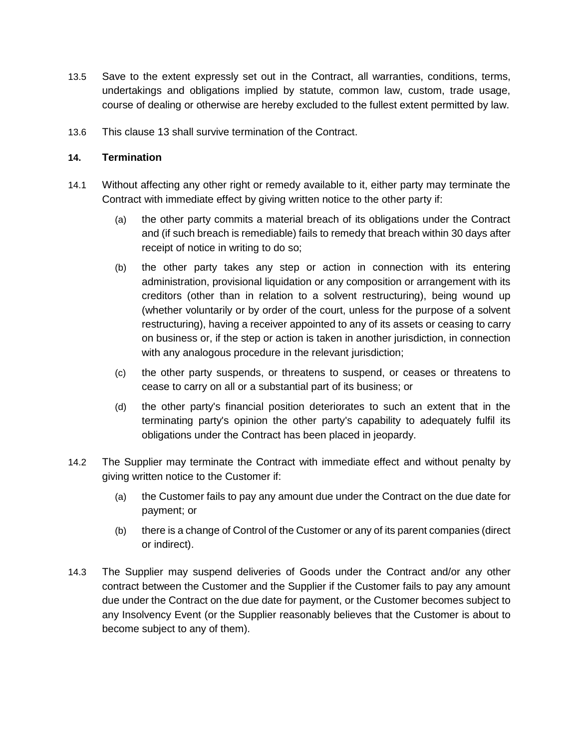- 13.5 Save to the extent expressly set out in the Contract, all warranties, conditions, terms, undertakings and obligations implied by statute, common law, custom, trade usage, course of dealing or otherwise are hereby excluded to the fullest extent permitted by law.
- 13.6 This clause [13](#page-13-0) shall survive termination of the Contract.

#### **14. Termination**

- <span id="page-14-0"></span>14.1 Without affecting any other right or remedy available to it, either party may terminate the Contract with immediate effect by giving written notice to the other party if:
	- (a) the other party commits a material breach of its obligations under the Contract and (if such breach is remediable) fails to remedy that breach within 30 days after receipt of notice in writing to do so;
	- (b) the other party takes any step or action in connection with its entering administration, provisional liquidation or any composition or arrangement with its creditors (other than in relation to a solvent restructuring), being wound up (whether voluntarily or by order of the court, unless for the purpose of a solvent restructuring), having a receiver appointed to any of its assets or ceasing to carry on business or, if the step or action is taken in another jurisdiction, in connection with any analogous procedure in the relevant jurisdiction;
	- (c) the other party suspends, or threatens to suspend, or ceases or threatens to cease to carry on all or a substantial part of its business; or
	- (d) the other party's financial position deteriorates to such an extent that in the terminating party's opinion the other party's capability to adequately fulfil its obligations under the Contract has been placed in jeopardy.
- <span id="page-14-1"></span>14.2 The Supplier may terminate the Contract with immediate effect and without penalty by giving written notice to the Customer if:
	- (a) the Customer fails to pay any amount due under the Contract on the due date for payment; or
	- (b) there is a change of Control of the Customer or any of its parent companies (direct or indirect).
- 14.3 The Supplier may suspend deliveries of Goods under the Contract and/or any other contract between the Customer and the Supplier if the Customer fails to pay any amount due under the Contract on the due date for payment, or the Customer becomes subject to any Insolvency Event (or the Supplier reasonably believes that the Customer is about to become subject to any of them).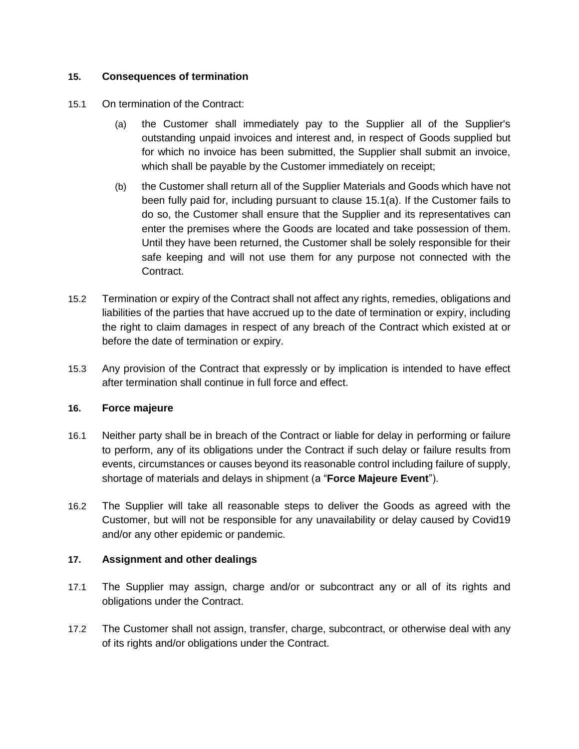### **15. Consequences of termination**

- <span id="page-15-1"></span>15.1 On termination of the Contract:
	- (a) the Customer shall immediately pay to the Supplier all of the Supplier's outstanding unpaid invoices and interest and, in respect of Goods supplied but for which no invoice has been submitted, the Supplier shall submit an invoice, which shall be payable by the Customer immediately on receipt;
	- (b) the Customer shall return all of the Supplier Materials and Goods which have not been fully paid for, including pursuant to clause [15.1\(a\).](#page-15-1) If the Customer fails to do so, the Customer shall ensure that the Supplier and its representatives can enter the premises where the Goods are located and take possession of them. Until they have been returned, the Customer shall be solely responsible for their safe keeping and will not use them for any purpose not connected with the Contract.
- 15.2 Termination or expiry of the Contract shall not affect any rights, remedies, obligations and liabilities of the parties that have accrued up to the date of termination or expiry, including the right to claim damages in respect of any breach of the Contract which existed at or before the date of termination or expiry.
- 15.3 Any provision of the Contract that expressly or by implication is intended to have effect after termination shall continue in full force and effect.

### **16. Force majeure**

- <span id="page-15-0"></span>16.1 Neither party shall be in breach of the Contract or liable for delay in performing or failure to perform, any of its obligations under the Contract if such delay or failure results from events, circumstances or causes beyond its reasonable control including failure of supply, shortage of materials and delays in shipment (a "**Force Majeure Event**").
- 16.2 The Supplier will take all reasonable steps to deliver the Goods as agreed with the Customer, but will not be responsible for any unavailability or delay caused by Covid19 and/or any other epidemic or pandemic.

### **17. Assignment and other dealings**

- 17.1 The Supplier may assign, charge and/or or subcontract any or all of its rights and obligations under the Contract.
- 17.2 The Customer shall not assign, transfer, charge, subcontract, or otherwise deal with any of its rights and/or obligations under the Contract.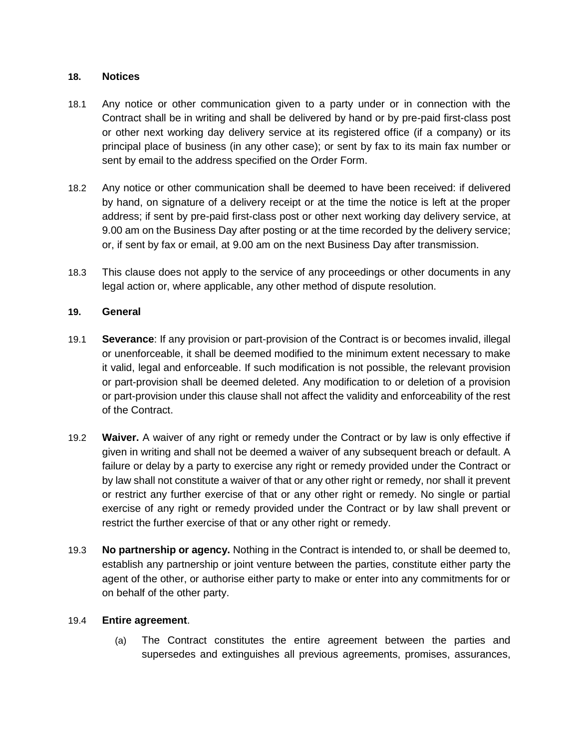#### **18. Notices**

- 18.1 Any notice or other communication given to a party under or in connection with the Contract shall be in writing and shall be delivered by hand or by pre-paid first-class post or other next working day delivery service at its registered office (if a company) or its principal place of business (in any other case); or sent by fax to its main fax number or sent by email to the address specified on the Order Form.
- 18.2 Any notice or other communication shall be deemed to have been received: if delivered by hand, on signature of a delivery receipt or at the time the notice is left at the proper address; if sent by pre-paid first-class post or other next working day delivery service, at 9.00 am on the Business Day after posting or at the time recorded by the delivery service; or, if sent by fax or email, at 9.00 am on the next Business Day after transmission.
- 18.3 This clause does not apply to the service of any proceedings or other documents in any legal action or, where applicable, any other method of dispute resolution.

#### **19. General**

- 19.1 **Severance**: If any provision or part-provision of the Contract is or becomes invalid, illegal or unenforceable, it shall be deemed modified to the minimum extent necessary to make it valid, legal and enforceable. If such modification is not possible, the relevant provision or part-provision shall be deemed deleted. Any modification to or deletion of a provision or part-provision under this clause shall not affect the validity and enforceability of the rest of the Contract.
- 19.2 **Waiver.** A waiver of any right or remedy under the Contract or by law is only effective if given in writing and shall not be deemed a waiver of any subsequent breach or default. A failure or delay by a party to exercise any right or remedy provided under the Contract or by law shall not constitute a waiver of that or any other right or remedy, nor shall it prevent or restrict any further exercise of that or any other right or remedy. No single or partial exercise of any right or remedy provided under the Contract or by law shall prevent or restrict the further exercise of that or any other right or remedy.
- 19.3 **No partnership or agency.** Nothing in the Contract is intended to, or shall be deemed to, establish any partnership or joint venture between the parties, constitute either party the agent of the other, or authorise either party to make or enter into any commitments for or on behalf of the other party.

#### 19.4 **Entire agreement**.

(a) The Contract constitutes the entire agreement between the parties and supersedes and extinguishes all previous agreements, promises, assurances,